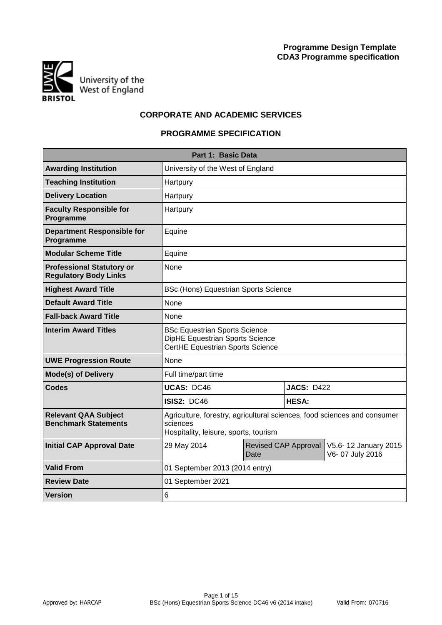

# **CORPORATE AND ACADEMIC SERVICES**

# **PROGRAMME SPECIFICATION**

|                                                                  | Part 1: Basic Data                                                                                                            |      |                      |                                         |  |  |  |  |  |  |  |  |
|------------------------------------------------------------------|-------------------------------------------------------------------------------------------------------------------------------|------|----------------------|-----------------------------------------|--|--|--|--|--|--|--|--|
| <b>Awarding Institution</b>                                      | University of the West of England                                                                                             |      |                      |                                         |  |  |  |  |  |  |  |  |
| <b>Teaching Institution</b>                                      | Hartpury                                                                                                                      |      |                      |                                         |  |  |  |  |  |  |  |  |
| <b>Delivery Location</b>                                         | Hartpury                                                                                                                      |      |                      |                                         |  |  |  |  |  |  |  |  |
| <b>Faculty Responsible for</b><br>Programme                      | Hartpury                                                                                                                      |      |                      |                                         |  |  |  |  |  |  |  |  |
| <b>Department Responsible for</b><br>Programme                   | Equine                                                                                                                        |      |                      |                                         |  |  |  |  |  |  |  |  |
| <b>Modular Scheme Title</b>                                      | Equine                                                                                                                        |      |                      |                                         |  |  |  |  |  |  |  |  |
| <b>Professional Statutory or</b><br><b>Regulatory Body Links</b> | None                                                                                                                          |      |                      |                                         |  |  |  |  |  |  |  |  |
| <b>Highest Award Title</b>                                       | <b>BSc (Hons) Equestrian Sports Science</b>                                                                                   |      |                      |                                         |  |  |  |  |  |  |  |  |
| <b>Default Award Title</b>                                       | None                                                                                                                          |      |                      |                                         |  |  |  |  |  |  |  |  |
| <b>Fall-back Award Title</b>                                     | None                                                                                                                          |      |                      |                                         |  |  |  |  |  |  |  |  |
| <b>Interim Award Titles</b>                                      | <b>BSc Equestrian Sports Science</b><br><b>DipHE Equestrian Sports Science</b><br>CertHE Equestrian Sports Science            |      |                      |                                         |  |  |  |  |  |  |  |  |
| <b>UWE Progression Route</b>                                     | None                                                                                                                          |      |                      |                                         |  |  |  |  |  |  |  |  |
| <b>Mode(s) of Delivery</b>                                       | Full time/part time                                                                                                           |      |                      |                                         |  |  |  |  |  |  |  |  |
| <b>Codes</b>                                                     | <b>UCAS: DC46</b>                                                                                                             |      | <b>JACS: D422</b>    |                                         |  |  |  |  |  |  |  |  |
|                                                                  | <b>ISIS2: DC46</b>                                                                                                            |      | <b>HESA:</b>         |                                         |  |  |  |  |  |  |  |  |
| <b>Relevant QAA Subject</b><br><b>Benchmark Statements</b>       | Agriculture, forestry, agricultural sciences, food sciences and consumer<br>sciences<br>Hospitality, leisure, sports, tourism |      |                      |                                         |  |  |  |  |  |  |  |  |
| <b>Initial CAP Approval Date</b>                                 | 29 May 2014                                                                                                                   | Date | Revised CAP Approval | V5.6-12 January 2015<br>V6-07 July 2016 |  |  |  |  |  |  |  |  |
| <b>Valid From</b>                                                | 01 September 2013 (2014 entry)                                                                                                |      |                      |                                         |  |  |  |  |  |  |  |  |
| <b>Review Date</b>                                               | 01 September 2021                                                                                                             |      |                      |                                         |  |  |  |  |  |  |  |  |
| <b>Version</b>                                                   | 6                                                                                                                             |      |                      |                                         |  |  |  |  |  |  |  |  |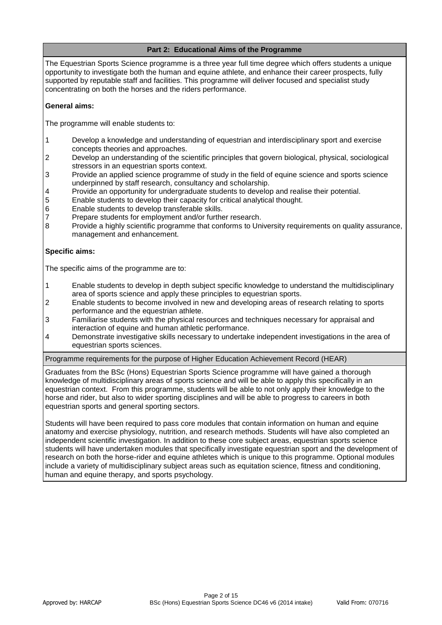# **Part 2: Educational Aims of the Programme**

The Equestrian Sports Science programme is a three year full time degree which offers students a unique opportunity to investigate both the human and equine athlete, and enhance their career prospects, fully supported by reputable staff and facilities. This programme will deliver focused and specialist study concentrating on both the horses and the riders performance.

## **General aims:**

The programme will enable students to:

- 1 Develop a knowledge and understanding of equestrian and interdisciplinary sport and exercise concepts theories and approaches.
- 2 Develop an understanding of the scientific principles that govern biological, physical, sociological stressors in an equestrian sports context.
- 3 Provide an applied science programme of study in the field of equine science and sports science underpinned by staff research, consultancy and scholarship.
- 4 Provide an opportunity for undergraduate students to develop and realise their potential.
- 5 Enable students to develop their capacity for critical analytical thought.
- 6 Enable students to develop transferable skills.
- 7 Prepare students for employment and/or further research.
- 8 Provide a highly scientific programme that conforms to University requirements on quality assurance, management and enhancement.

## **Specific aims:**

The specific aims of the programme are to:

- 1 Enable students to develop in depth subject specific knowledge to understand the multidisciplinary area of sports science and apply these principles to equestrian sports.
- 2 Enable students to become involved in new and developing areas of research relating to sports performance and the equestrian athlete.
- 3 Familiarise students with the physical resources and techniques necessary for appraisal and interaction of equine and human athletic performance.
- 4 Demonstrate investigative skills necessary to undertake independent investigations in the area of equestrian sports sciences.

Programme requirements for the purpose of Higher Education Achievement Record (HEAR)

Graduates from the BSc (Hons) Equestrian Sports Science programme will have gained a thorough knowledge of multidisciplinary areas of sports science and will be able to apply this specifically in an equestrian context. From this programme, students will be able to not only apply their knowledge to the horse and rider, but also to wider sporting disciplines and will be able to progress to careers in both equestrian sports and general sporting sectors.

Students will have been required to pass core modules that contain information on human and equine anatomy and exercise physiology, nutrition, and research methods. Students will have also completed an independent scientific investigation. In addition to these core subject areas, equestrian sports science students will have undertaken modules that specifically investigate equestrian sport and the development of research on both the horse-rider and equine athletes which is unique to this programme. Optional modules include a variety of multidisciplinary subject areas such as equitation science, fitness and conditioning, human and equine therapy, and sports psychology.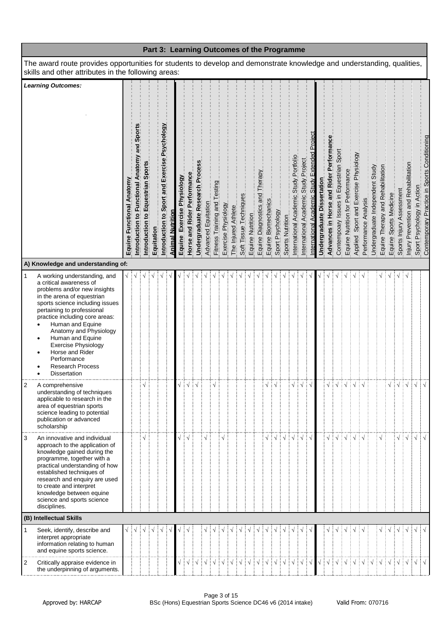|                |                                                                                                                                                                                                                                                                                                                                                                                                            |                           |                                                     |                                   |            |                                               |                         |                            |                             |                                |                     |                              |                     |                     |                            |                  |                                |                     | Part 3: Learning Outcomes of the Programme |                  |                                        |                                      |                                              |                            |                                        |                                        |                                  |                                                                |                                 |                                   |                        |                          |                                      |                                                                            |  |
|----------------|------------------------------------------------------------------------------------------------------------------------------------------------------------------------------------------------------------------------------------------------------------------------------------------------------------------------------------------------------------------------------------------------------------|---------------------------|-----------------------------------------------------|-----------------------------------|------------|-----------------------------------------------|-------------------------|----------------------------|-----------------------------|--------------------------------|---------------------|------------------------------|---------------------|---------------------|----------------------------|------------------|--------------------------------|---------------------|--------------------------------------------|------------------|----------------------------------------|--------------------------------------|----------------------------------------------|----------------------------|----------------------------------------|----------------------------------------|----------------------------------|----------------------------------------------------------------|---------------------------------|-----------------------------------|------------------------|--------------------------|--------------------------------------|----------------------------------------------------------------------------|--|
|                | The award route provides opportunities for students to develop and demonstrate knowledge and understanding, qualities,<br>skills and other attributes in the following areas:                                                                                                                                                                                                                              |                           |                                                     |                                   |            |                                               |                         |                            |                             |                                |                     |                              |                     |                     |                            |                  |                                |                     |                                            |                  |                                        |                                      |                                              |                            |                                        |                                        |                                  |                                                                |                                 |                                   |                        |                          |                                      |                                                                            |  |
|                | <b>Learning Outcomes:</b>                                                                                                                                                                                                                                                                                                                                                                                  | Equine Functional Anatomy | Sports<br>and<br>Introduction to Functional Anatomy | Introduction to Equestrian Sports | Equitation | Introduction to Sport and Exercise Psychology | <b>Animal Nutrition</b> | Equine Exercise Physiology | Horse and Rider Performance | Undergraduate Research Process | Advanced Equitation | Fitness Training and Testing | Exercise Physiology | The Injured Athlete | Soft Tissue Techniques     | Equine Nutrition | Equine Diagnostics and Therapy | Equine Biomechanics | Sport Psychology                           | Sports Nutrition | International Academic Study Portfolio | International Academic Study Project | nternational Academic Study Extended Project | Undergraduate Dissertation | Advances in Horse and Rider Performanc | Contempoary Issues in Equestrian Sport | Equine Nutrition for Performance | Applied, Sport and Exercise Physiology<br>Performance Analysis | Undergraduate Independent Study | Equine Therapy and Rehabilitation | Equine Sports Medicine | Sports Injury Assessment | Injury Prevention and Rehabilitation | Sport Psychology in Action<br>Contemporary Practice in Sports Conditioning |  |
|                | A) Knowledge and understanding of:                                                                                                                                                                                                                                                                                                                                                                         |                           |                                                     |                                   |            |                                               |                         |                            |                             |                                |                     |                              |                     |                     |                            |                  |                                |                     |                                            |                  |                                        |                                      |                                              |                            |                                        |                                        |                                  |                                                                |                                 |                                   |                        |                          |                                      |                                                                            |  |
| $\mathbf{1}$   | A working understanding, and<br>a critical awareness of<br>problems and/or new insights<br>in the arena of equestrian<br>sports science including issues<br>pertaining to professional<br>practice including core areas:<br>Human and Equine<br>Anatomy and Physiology<br>Human and Equine<br>٠<br><b>Exercise Physiology</b><br>Horse and Rider<br>Performance<br><b>Research Process</b><br>Dissertation |                           |                                                     |                                   |            |                                               |                         |                            |                             |                                |                     |                              |                     |                     |                            |                  |                                |                     |                                            |                  |                                        |                                      |                                              |                            |                                        |                                        |                                  |                                                                |                                 |                                   |                        |                          |                                      |                                                                            |  |
| $\overline{c}$ | A comprehensive<br>understanding of techniques<br>applicable to research in the<br>area of equestrian sports<br>science leading to potential<br>publication or advanced<br>scholarship                                                                                                                                                                                                                     |                           |                                                     |                                   |            |                                               |                         |                            |                             | ┊√                             |                     |                              |                     |                     |                            |                  |                                |                     |                                            |                  |                                        |                                      |                                              |                            |                                        |                                        |                                  |                                                                |                                 |                                   |                        |                          |                                      | $\sqrt{ }$                                                                 |  |
| 3              | An innovative and individual<br>approach to the application of<br>knowledge gained during the<br>programme, together with a<br>practical understanding of how<br>established techniques of<br>research and enquiry are used<br>to create and interpret<br>knowledge between equine<br>science and sports science<br>disciplines.<br>(B) Intellectual Skills                                                |                           |                                                     |                                   |            |                                               |                         |                            |                             |                                |                     |                              |                     |                     |                            |                  |                                |                     |                                            |                  |                                        |                                      | $\sqrt{}$                                    |                            |                                        |                                        |                                  |                                                                |                                 |                                   |                        |                          | ÷ν                                   | $\sqrt{ }$                                                                 |  |
|                | Seek, identify, describe and                                                                                                                                                                                                                                                                                                                                                                               |                           |                                                     |                                   |            |                                               |                         |                            |                             |                                |                     |                              |                     |                     |                            |                  |                                |                     |                                            |                  |                                        |                                      |                                              |                            |                                        |                                        |                                  |                                                                |                                 |                                   |                        |                          |                                      | $\sqrt{ }$                                                                 |  |
|                | interpret appropriate<br>information relating to human<br>and equine sports science.                                                                                                                                                                                                                                                                                                                       |                           |                                                     |                                   |            |                                               |                         |                            |                             |                                |                     |                              |                     |                     |                            |                  |                                |                     |                                            |                  |                                        |                                      |                                              |                            |                                        |                                        |                                  |                                                                |                                 |                                   |                        |                          |                                      |                                                                            |  |
| 2              | Critically appraise evidence in<br>the underpinning of arguments.                                                                                                                                                                                                                                                                                                                                          |                           |                                                     |                                   |            |                                               |                         |                            | ┊√                          |                                |                     |                              |                     |                     | ┆ <b>ヽ</b> ┆ヽ┆ヽ┆ヽ┆ヽ┆ヽ┆ヽ┆ヽ┆ |                  |                                |                     |                                            |                  |                                        |                                      |                                              |                            | $\frac{1}{2}$                          | $\sqrt{ }$                             |                                  |                                                                |                                 |                                   |                        |                          |                                      |                                                                            |  |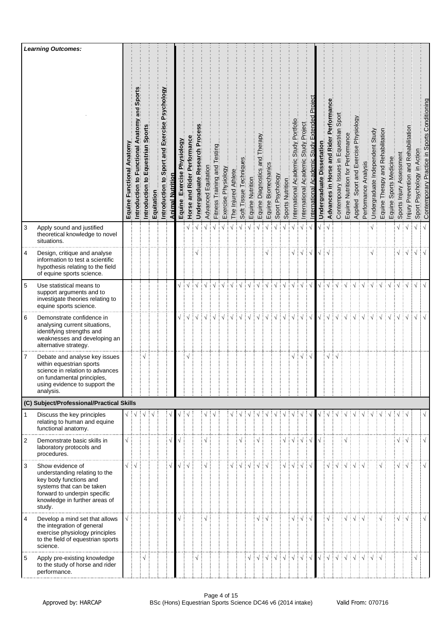|                | <b>Learning Outcomes:</b>                                                                                                                                                           |                                        |                                                |                                         |            |                                                  |                  |                                  |                                              |                             |                     |                                |                     |                     |                        |                  |                             |                            |                  |                                                         |                                                 |                                                |                                                                |                                  |                                          |                                                         |                                  |                                                 |                                                                       |                                 |                                   |                           |                             |                                         |                               |                                              |
|----------------|-------------------------------------------------------------------------------------------------------------------------------------------------------------------------------------|----------------------------------------|------------------------------------------------|-----------------------------------------|------------|--------------------------------------------------|------------------|----------------------------------|----------------------------------------------|-----------------------------|---------------------|--------------------------------|---------------------|---------------------|------------------------|------------------|-----------------------------|----------------------------|------------------|---------------------------------------------------------|-------------------------------------------------|------------------------------------------------|----------------------------------------------------------------|----------------------------------|------------------------------------------|---------------------------------------------------------|----------------------------------|-------------------------------------------------|-----------------------------------------------------------------------|---------------------------------|-----------------------------------|---------------------------|-----------------------------|-----------------------------------------|-------------------------------|----------------------------------------------|
|                |                                                                                                                                                                                     | Equine Functional Anatomy              | and Sport<br>Introduction to Functional Anatom | Spor<br>Equestrian<br>في<br>Introductio | Equitation | Sport and Exercise Psychology<br>Introduction to | Animal Nutrition | Physiology<br>Exercise<br>Equine | Rider Performance<br>$\frac{1}{2}$<br>Horse? | Undergraduate Research Proc | Advanced Equitation | esting<br>Fitness Training and | Exercise Physiology | The Injured Athlete | Soft Tissue Techniques | Equine Nutrition | herap<br>Equine Diagnostics | pue<br>Equine Biomechanics | Sport Psychology | Sports Nutrition                                        | Portfolio<br>Study<br>Academic<br>International | Project<br>Study.<br>Academic<br>International | n<br>Proj<br>Extended<br><b>Academic Study</b><br>nternational | ssertation<br>ō<br>Undergraduate | Performan<br>Advances in Horse and Rider | Contempoary Issues in Equestrian Sport                  | Equine Nutrition for Performance | Sport and Exercise Physiology<br><b>Applied</b> | Analysis<br>Performance                                               | Undergraduate Independent Study | Equine Therapy and Rehabilitation | Sports Medicine<br>Equine | Assessment<br>Sports Injury | Prevention and Rehabilitation<br>Injury | Psychology in Action<br>Sport | Contemporary Practice in Sports Conditioning |
| 3              | Apply sound and justified<br>theoretical knowledge to novel<br>situations.                                                                                                          |                                        |                                                |                                         |            |                                                  |                  |                                  |                                              |                             | $\sqrt{ }$          |                                |                     |                     | $\sqrt{ }$             | $\sqrt{ }$       |                             |                            |                  |                                                         | $\sqrt{ }$                                      |                                                |                                                                |                                  |                                          |                                                         |                                  |                                                 |                                                                       |                                 |                                   |                           | $\sqrt{}$                   | ∃√                                      | $\sqrt{}$                     | $\sqrt{ }$                                   |
| 4              | Design, critique and analyse<br>information to test a scientific<br>hypothesis relating to the field<br>of equine sports science.                                                   |                                        |                                                |                                         |            |                                                  |                  |                                  |                                              |                             |                     |                                |                     |                     |                        |                  |                             |                            |                  |                                                         |                                                 | $\sqrt{ }$                                     | ┊√                                                             |                                  |                                          |                                                         |                                  |                                                 |                                                                       |                                 |                                   |                           | √ ∔√                        |                                         | $\sqrt{ }$                    | $\sqrt{ }$                                   |
| 5              | Use statistical means to<br>support arguments and to<br>investigate theories relating to<br>equine sports science.                                                                  |                                        |                                                |                                         |            |                                                  |                  |                                  |                                              |                             |                     |                                |                     |                     |                        |                  |                             |                            |                  |                                                         |                                                 |                                                |                                                                |                                  |                                          |                                                         |                                  |                                                 |                                                                       |                                 |                                   |                           |                             | $\sqrt{ }$                              | $\sqrt{}$                     | $\sqrt{ }$                                   |
| 6              | Demonstrate confidence in<br>analysing current situations,<br>identifying strengths and<br>weaknesses and developing an<br>alternative strategy.                                    |                                        |                                                |                                         |            |                                                  |                  |                                  | $\sqrt{\frac{1}{2}}\sqrt{\frac{1}{2}}$       | ┆√                          | $\sqrt{ }$          |                                |                     |                     | $\sqrt{ }$             | $\sqrt{ }$       |                             |                            |                  | $\sqrt{ }$                                              | $\sqrt{ }$                                      | $\sqrt{ }$                                     | ं√                                                             | $\sqrt{}$                        | $\frac{1}{2}$                            | $\sqrt{ }$                                              |                                  |                                                 |                                                                       | $\sqrt{ }$                      | $\sqrt{}$                         |                           | $\sqrt{2}$                  |                                         | $\sqrt{}$                     |                                              |
| 7              | Debate and analyse key issues<br>within equestrian sports<br>science in relation to advances<br>on fundamental principles,<br>using evidence to support the<br>analysis.            |                                        |                                                |                                         |            |                                                  |                  |                                  | N                                            |                             |                     |                                |                     |                     |                        |                  |                             |                            |                  |                                                         | $\sqrt{}$                                       | ‡√                                             | ∶√                                                             |                                  | $\sqrt{}$                                |                                                         |                                  |                                                 |                                                                       |                                 |                                   |                           |                             |                                         |                               |                                              |
|                | (C) Subject/Professional/Practical Skills                                                                                                                                           |                                        |                                                |                                         |            |                                                  |                  |                                  |                                              |                             |                     |                                |                     |                     |                        |                  |                             |                            |                  |                                                         |                                                 |                                                |                                                                |                                  |                                          |                                                         |                                  |                                                 |                                                                       |                                 |                                   |                           |                             |                                         |                               |                                              |
| $\mathbf{1}$   | Discuss the key principles<br>relating to human and equine<br>functional anatomy.                                                                                                   | $\sqrt{\frac{1}{2}}\sqrt{\frac{1}{2}}$ |                                                |                                         |            |                                                  |                  |                                  |                                              |                             |                     |                                |                     |                     |                        |                  |                             |                            |                  |                                                         |                                                 |                                                |                                                                |                                  |                                          |                                                         |                                  |                                                 |                                                                       |                                 |                                   |                           |                             |                                         |                               |                                              |
| $\overline{2}$ | Demonstrate basic skills in<br>laboratory protocols and<br>procedures.                                                                                                              | $\sqrt{ }$                             |                                                |                                         |            |                                                  |                  |                                  |                                              |                             |                     |                                |                     |                     |                        |                  |                             |                            |                  |                                                         | √ ∔√                                            | $\sqrt{ }$                                     |                                                                |                                  |                                          |                                                         |                                  |                                                 |                                                                       |                                 |                                   |                           | $\sqrt{2}$                  |                                         |                               | $\sqrt{}$                                    |
| 3              | Show evidence of<br>understanding relating to the<br>key body functions and<br>systems that can be taken<br>forward to underpin specific<br>knowledge in further areas of<br>study. | $\sqrt{ \sqrt{25}}$                    |                                                |                                         |            |                                                  |                  |                                  | √ i √                                        |                             | $\mathbf{v}$        |                                |                     |                     |                        |                  |                             |                            |                  |                                                         | √∃√                                             | $\sqrt{ }$                                     | ં√                                                             |                                  | √ ∔                                      | $\sqrt{ }$                                              |                                  |                                                 |                                                                       |                                 |                                   |                           | $\sqrt{2}$                  |                                         |                               | $\sqrt{ }$                                   |
| $\overline{4}$ | Develop a mind set that allows<br>the integration of general<br>exercise physiology principles<br>to the field of equestrian sports<br>science.                                     | $\sqrt{ }$                             |                                                |                                         |            |                                                  |                  |                                  |                                              |                             |                     |                                |                     |                     |                        |                  | $\sqrt{}$                   | ં √                        |                  |                                                         | $\sqrt{}$                                       | $\vdots \vee$                                  | ÷ν                                                             |                                  | $\sqrt{}$                                |                                                         | $\sqrt{}$                        | ∶√                                              | ∶√                                                                    |                                 |                                   |                           | $\sqrt{2}$                  |                                         |                               | $\sqrt{}$                                    |
| 5              | Apply pre-existing knowledge<br>to the study of horse and rider<br>performance.                                                                                                     |                                        |                                                |                                         |            |                                                  |                  |                                  |                                              |                             |                     |                                |                     |                     |                        |                  |                             | $\frac{1}{2}$              | ∄√               | $\frac{1}{2}$ $\sqrt{\frac{1}{2}}$ $\sqrt{\frac{1}{2}}$ |                                                 | $\frac{1}{2}$ $\sqrt{ }$                       | ं√                                                             | $\sqrt{}$                        |                                          | $\frac{1}{2}$ $\sqrt{\frac{1}{2}}$ $\sqrt{\frac{1}{2}}$ |                                  |                                                 | $\exists \sqrt{\exists} \sqrt{\exists} \sqrt{\exists} \sqrt{\exists}$ |                                 |                                   |                           |                             |                                         | √                             |                                              |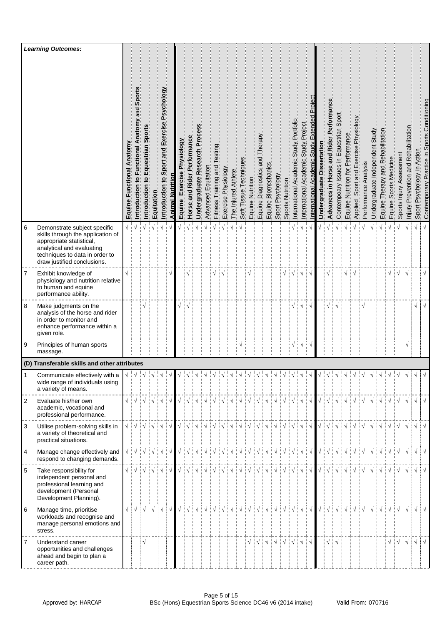|                  | <b>Learning Outcomes:</b>                                                                                                                                                                   |                                 |                                                                                                                                                                                                                                                                                                                                                                                                                                                                                                                                                              |                                   |                                    |                                               |                  |                            |                                          |                                  |                     |                      |                     |                     |                        |                  |                                      |                        |                                                                                                                                                                                                                                                                                                                                                                                                                                                                                                                                                          |                  |                                                |                                                   |                                           |                                  |                                          |                                        |                                  |                                          |                      |                                 |                                   |                           |                                                          |                                                 |                            |                                              |
|------------------|---------------------------------------------------------------------------------------------------------------------------------------------------------------------------------------------|---------------------------------|--------------------------------------------------------------------------------------------------------------------------------------------------------------------------------------------------------------------------------------------------------------------------------------------------------------------------------------------------------------------------------------------------------------------------------------------------------------------------------------------------------------------------------------------------------------|-----------------------------------|------------------------------------|-----------------------------------------------|------------------|----------------------------|------------------------------------------|----------------------------------|---------------------|----------------------|---------------------|---------------------|------------------------|------------------|--------------------------------------|------------------------|----------------------------------------------------------------------------------------------------------------------------------------------------------------------------------------------------------------------------------------------------------------------------------------------------------------------------------------------------------------------------------------------------------------------------------------------------------------------------------------------------------------------------------------------------------|------------------|------------------------------------------------|---------------------------------------------------|-------------------------------------------|----------------------------------|------------------------------------------|----------------------------------------|----------------------------------|------------------------------------------|----------------------|---------------------------------|-----------------------------------|---------------------------|----------------------------------------------------------|-------------------------------------------------|----------------------------|----------------------------------------------|
|                  |                                                                                                                                                                                             | Anatomy<br>Functional<br>Equine | and Sport<br>Introduction to Functional Anatomy                                                                                                                                                                                                                                                                                                                                                                                                                                                                                                              | Sport<br>Equestrian<br>Introducti | Equitation                         | Introduction to Sport and Exercise Psychology | Animal Nutrition | Equine Exercise Physiology | Performance<br><b>Rider</b><br>Horse and | Proces<br>Undergraduate Research | Advanced Equitation | Fitness Training and | Exercise Physiology | The Injured Athlete | Soft Tissue Techniques | Equine Nutrition | Therapy<br>pue<br>Equine Diagnostics | Biomechanics<br>Equine | Sport Psychology                                                                                                                                                                                                                                                                                                                                                                                                                                                                                                                                         | Sports Nutrition | Portfoli<br>Study<br>Academic<br>International | Project<br>Study<br>Academic<br>International     | Fxtended<br>cademic Study<br>nternational | ssertatior<br>ō<br>Undergraduate | Performan<br>Advances in Horse and Rider | Contempoary Issues in Equestrian Sport | Equine Nutrition for Performance | Sport and Exercise Physiology<br>Applied | Performance Analysis | Undergraduate Independent Study | Equine Therapy and Rehabilitation | Sports Medicine<br>Equine | Sports Injury Assessment                                 | Prevention and Rehabilitation<br><u>  Mniui</u> | Sport Psychology in Action | Contemporary Practice in Sports Conditioning |
| 6                | Demonstrate subject specific<br>skills through the application of<br>appropriate statistical,<br>analytical and evaluating<br>techniques to data in order to<br>draw justified conclusions. | √ ∶                             |                                                                                                                                                                                                                                                                                                                                                                                                                                                                                                                                                              |                                   |                                    | $\sqrt{ }$                                    |                  |                            |                                          |                                  |                     |                      |                     |                     |                        |                  |                                      |                        |                                                                                                                                                                                                                                                                                                                                                                                                                                                                                                                                                          |                  |                                                |                                                   |                                           |                                  |                                          |                                        |                                  |                                          |                      |                                 |                                   |                           |                                                          |                                                 | $\sqrt{}$                  |                                              |
| 7                | Exhibit knowledge of<br>physiology and nutrition relative<br>to human and equine<br>performance ability.                                                                                    |                                 |                                                                                                                                                                                                                                                                                                                                                                                                                                                                                                                                                              |                                   |                                    |                                               |                  |                            |                                          |                                  |                     |                      |                     |                     |                        |                  |                                      |                        |                                                                                                                                                                                                                                                                                                                                                                                                                                                                                                                                                          | $\sqrt{}$        |                                                |                                                   |                                           |                                  | V                                        |                                        |                                  |                                          |                      |                                 |                                   | $\sqrt{}$                 | $\mathbf{1} \vee \mathbf{1} \vee$                        |                                                 |                            | $\sqrt{}$                                    |
| $\boldsymbol{8}$ | Make judgments on the<br>analysis of the horse and rider<br>in order to monitor and<br>enhance performance within a<br>given role.                                                          |                                 |                                                                                                                                                                                                                                                                                                                                                                                                                                                                                                                                                              |                                   |                                    |                                               |                  |                            |                                          |                                  |                     |                      |                     |                     |                        |                  |                                      |                        |                                                                                                                                                                                                                                                                                                                                                                                                                                                                                                                                                          |                  |                                                |                                                   |                                           |                                  |                                          |                                        |                                  |                                          |                      |                                 |                                   |                           |                                                          |                                                 | $\sqrt{}$                  | $\sqrt{ }$                                   |
| 9                | Principles of human sports<br>massage.                                                                                                                                                      |                                 |                                                                                                                                                                                                                                                                                                                                                                                                                                                                                                                                                              |                                   |                                    |                                               |                  |                            |                                          |                                  |                     |                      |                     |                     | $\sqrt{}$              |                  |                                      |                        |                                                                                                                                                                                                                                                                                                                                                                                                                                                                                                                                                          |                  | $\sqrt{}$                                      | ┊√                                                | ∔√                                        |                                  |                                          |                                        |                                  |                                          |                      |                                 |                                   |                           |                                                          | $\sqrt{}$                                       |                            |                                              |
|                  | (D) Transferable skills and other attributes                                                                                                                                                |                                 |                                                                                                                                                                                                                                                                                                                                                                                                                                                                                                                                                              |                                   |                                    |                                               |                  |                            |                                          |                                  |                     |                      |                     |                     |                        |                  |                                      |                        |                                                                                                                                                                                                                                                                                                                                                                                                                                                                                                                                                          |                  |                                                |                                                   |                                           |                                  |                                          |                                        |                                  |                                          |                      |                                 |                                   |                           |                                                          |                                                 |                            |                                              |
|                  | Communicate effectively with a<br>wide range of individuals using<br>a variety of means.                                                                                                    |                                 |                                                                                                                                                                                                                                                                                                                                                                                                                                                                                                                                                              |                                   | $\frac{1}{2}$ $\sqrt{\frac{1}{2}}$ |                                               |                  |                            |                                          |                                  |                     |                      |                     |                     | ै√                     | $\sqrt{ }$       |                                      |                        |                                                                                                                                                                                                                                                                                                                                                                                                                                                                                                                                                          | $\frac{1}{2}$    | $\frac{1}{2}$ $\sim$                           |                                                   |                                           |                                  |                                          |                                        |                                  |                                          |                      | $\frac{1}{2}$                   | $\frac{1}{2}$                     | $\frac{1}{2}$             | $\frac{1}{2}$                                            |                                                 |                            |                                              |
| $\overline{2}$   | Evaluate his/her own<br>academic, vocational and<br>professional performance.                                                                                                               |                                 | $\begin{array}{c} \sqrt{\phantom{a}} \\ \sqrt{\phantom{a}} \\ \sqrt{\phantom{a}} \\ \sqrt{\phantom{a}} \\ \sqrt{\phantom{a}} \\ \sqrt{\phantom{a}} \\ \sqrt{\phantom{a}} \\ \sqrt{\phantom{a}} \\ \sqrt{\phantom{a}} \\ \sqrt{\phantom{a}} \\ \sqrt{\phantom{a}} \\ \sqrt{\phantom{a}} \\ \sqrt{\phantom{a}} \\ \sqrt{\phantom{a}} \\ \sqrt{\phantom{a}} \\ \sqrt{\phantom{a}} \\ \sqrt{\phantom{a}} \\ \sqrt{\phantom{a}} \\ \sqrt{\phantom{a}} \\ \sqrt{\phantom{a}} \\ \sqrt{\phantom{a}} \\ \sqrt{\phantom{a}} \\ \sqrt{\phantom{a}} \\ \sqrt{\phantom{$ |                                   |                                    |                                               |                  |                            |                                          |                                  |                     |                      |                     |                     |                        |                  |                                      |                        |                                                                                                                                                                                                                                                                                                                                                                                                                                                                                                                                                          |                  |                                                |                                                   |                                           |                                  |                                          |                                        |                                  |                                          |                      |                                 |                                   |                           |                                                          |                                                 |                            |                                              |
| 3                | Utilise problem-solving skills in<br>a variety of theoretical and<br>practical situations.                                                                                                  |                                 | $\begin{array}{c} \sqrt{\phantom{a}} : \sqrt{\phantom{a}} : \sqrt{\phantom{a}} : \sqrt{\phantom{a}} : \sqrt{\phantom{a}} : \sqrt{\phantom{a}} \end{array}$                                                                                                                                                                                                                                                                                                                                                                                                   |                                   |                                    |                                               |                  |                            |                                          |                                  |                     |                      |                     |                     |                        |                  |                                      |                        | $\begin{array}{c} \begin{array}{c} \sqrt{\phantom{a}} \\ \sqrt{\phantom{a}} \\ \end{array} \end{array} \begin{array}{c} \begin{array}{c} \sqrt{\phantom{a}} \\ \sqrt{\phantom{a}} \\ \end{array} \end{array} \begin{array}{c} \begin{array}{c} \sqrt{\phantom{a}} \\ \sqrt{\phantom{a}} \\ \end{array} \end{array} \begin{array}{c} \begin{array}{c} \sqrt{\phantom{a}} \\ \sqrt{\phantom{a}} \\ \end{array} \end{array} \begin{array}{c} \begin{array}{c} \sqrt{\phantom{a}} \\ \sqrt{\phantom{a}} \\ \end{array} \end{array} \begin{array}{c} \begin{$ |                  |                                                | $\frac{1}{2}$ $\sqrt{2}$                          |                                           |                                  |                                          |                                        |                                  |                                          |                      |                                 |                                   |                           |                                                          |                                                 | VIVIVIVIVIVIVIVIVIVIV      |                                              |
| $\overline{4}$   | Manage change effectively and<br>respond to changing demands.                                                                                                                               |                                 |                                                                                                                                                                                                                                                                                                                                                                                                                                                                                                                                                              |                                   |                                    |                                               |                  |                            |                                          |                                  |                     |                      |                     |                     |                        |                  |                                      |                        | $\begin{array}{c} \begin{array}{c} \sqrt{\phantom{a}\phantom{a}} \end{array} \end{array} \begin{array}{c} \begin{array}{c} \sqrt{\phantom{a}\phantom{a}} \end{array} \end{array} \begin{array}{c} \begin{array}{c} \sqrt{\phantom{a}\phantom{a}} \end{array} \end{array} \begin{array}{c} \begin{array}{c} \sqrt{\phantom{a}\phantom{a}} \end{array} \end{array} \begin{array}{c} \begin{array}{c} \sqrt{\phantom{a}\phantom{a}} \end{array} \end{array} \begin{array}{c} \begin{array}{c} \sqrt{\phantom{a}} \end{array} \end{array} \begin{$           |                  |                                                |                                                   |                                           |                                  |                                          |                                        |                                  |                                          | VIVIVIVIVIVIVIVIVI   |                                 |                                   |                           |                                                          |                                                 | $\sqrt{ \sqrt{2}}$         |                                              |
| 5                | Take responsibility for<br>independent personal and<br>professional learning and<br>development (Personal<br>Development Planning).                                                         |                                 | $\begin{array}{c} \sqrt{\phantom{a}} \; \; \sqrt{\phantom{a}} \; \; \sqrt{\phantom{a}} \; \; \sqrt{\phantom{a}} \; \; \sqrt{\phantom{a}} \; \; \sqrt{\phantom{a}} \; \; \sqrt{\phantom{a}} \; \; \sqrt{\phantom{a}} \; \; \sqrt{\phantom{a}} \; \; \sqrt{\phantom{a}} \; \; \sqrt{\phantom{a}} \; \; \sqrt{\phantom{a}} \; \; \sqrt{\phantom{a}} \; \; \sqrt{\phantom{a}} \; \; \sqrt{\phantom{a}} \; \; \sqrt{\phantom{a}} \; \; \sqrt{\phantom{a}} \; \; \sqrt{\phantom{a}} \$                                                                             |                                   |                                    |                                               |                  |                            |                                          |                                  |                     |                      |                     |                     |                        |                  |                                      |                        | $\begin{array}{c} \begin{array}{c} \sqrt{\phantom{a}} \end{array} \end{array} \begin{array}{c} \begin{array}{c} \sqrt{\phantom{a}} \end{array} \end{array} \begin{array}{c} \begin{array}{c} \sqrt{\phantom{a}} \end{array} \end{array} \begin{array}{c} \begin{array}{c} \sqrt{\phantom{a}} \end{array} \end{array} \begin{array}{c} \begin{array}{c} \sqrt{\phantom{a}} \end{array} \end{array} \begin{array}{c} \begin{array}{c} \sqrt{\phantom{a}} \end{array} \end{array} \begin{array}{c} \begin{array}{c} \sqrt{\phantom{a}} \end{array} \$       |                  |                                                |                                                   |                                           |                                  |                                          |                                        |                                  |                                          | VIVIVIVIVIVIVIVIVI   |                                 |                                   |                           |                                                          |                                                 | $\sqrt{ \sqrt{2}}$         |                                              |
| 6                | Manage time, prioritise<br>workloads and recognise and<br>manage personal emotions and<br>stress.                                                                                           |                                 |                                                                                                                                                                                                                                                                                                                                                                                                                                                                                                                                                              |                                   |                                    |                                               | $\sqrt{ }$       |                            |                                          |                                  |                     |                      |                     |                     |                        |                  |                                      |                        | VIVIVIVIVIVIVIVIVIVIVIV                                                                                                                                                                                                                                                                                                                                                                                                                                                                                                                                  |                  |                                                | $\frac{1}{2}$ $\sqrt{2}$ $\frac{1}{2}$ $\sqrt{2}$ |                                           |                                  |                                          |                                        |                                  |                                          |                      |                                 |                                   |                           |                                                          |                                                 |                            |                                              |
| 7                | Understand career<br>opportunities and challenges<br>ahead and begin to plan a<br>career path.                                                                                              |                                 |                                                                                                                                                                                                                                                                                                                                                                                                                                                                                                                                                              | $\sqrt{ }$                        |                                    |                                               |                  |                            |                                          |                                  |                     |                      |                     |                     |                        |                  |                                      |                        | $\begin{array}{c} \sqrt{\phantom{a}} : \sqrt{\phantom{a}} : \sqrt{\phantom{a}} : \sqrt{\phantom{a}} : \sqrt{\phantom{a}} : \sqrt{\phantom{a}} : \sqrt{\phantom{a}} \end{array}$                                                                                                                                                                                                                                                                                                                                                                          |                  |                                                | $\mathbf{1} \vee \mathbf{1} \vee \mathbf{1}$      |                                           |                                  | $\sqrt{2}$                               |                                        |                                  |                                          |                      |                                 |                                   |                           | $\sqrt{\frac{1}{2}}\sqrt{\frac{1}{2}}\sqrt{\frac{1}{2}}$ |                                                 | $\sqrt{ }$                 |                                              |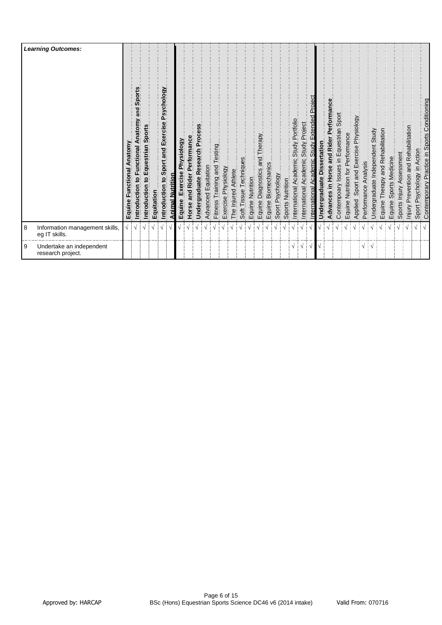|   | <b>Learning Outcomes:</b>                       | Anatomy<br>Functional<br>Equine | Sport<br>bus<br>S<br>Anatomy<br>ntroduction to Functional | Sports<br>ntroduction to Equestrian | Equitation | Psychology<br>Introduction to Sport and Exercise | <u>Animal Nutrition</u> | Exercise Physiology<br>Equine | and Rider Performance<br>Horse | Undergraduate Research Process | Advanced Equitation | Testing<br>and<br>Training<br>Fitness <sup>-</sup> | Exercise Physiology | Athlete<br>The Injured | Techniques<br>Soft Tissue | Equine Nutrition | Diagnostics and Therapy<br>Diagnostics and Therapy<br>Equine | <b>Biomechanics</b> | Equine Biomechan<br>Sport Psychology | Sports Nutrition | Academic Study Portfolio<br>International | Academic Study Project<br>International | <b>Study Extended Project</b><br>Academic<br>nternational | ssertation<br>õ<br>luate<br>Undergrad | Advances in Horse and Rider Performance | Contempoary Issues in Equestrian Sport | Equine Nutrition for Performance | Applied Sport and Exercise Physiology | Analysis<br>Performance | Undergraduate Independent Study | Therapy and Rehabilitation<br>Equine <sup>-</sup> | Sports Medicine<br>Equine | Sports Injury Assessment | Injury Prevention and Rehabilitation | Sport Psychology in Action | Contemporary Practice in Sports Conditioning |
|---|-------------------------------------------------|---------------------------------|-----------------------------------------------------------|-------------------------------------|------------|--------------------------------------------------|-------------------------|-------------------------------|--------------------------------|--------------------------------|---------------------|----------------------------------------------------|---------------------|------------------------|---------------------------|------------------|--------------------------------------------------------------|---------------------|--------------------------------------|------------------|-------------------------------------------|-----------------------------------------|-----------------------------------------------------------|---------------------------------------|-----------------------------------------|----------------------------------------|----------------------------------|---------------------------------------|-------------------------|---------------------------------|---------------------------------------------------|---------------------------|--------------------------|--------------------------------------|----------------------------|----------------------------------------------|
| 8 | Information management skills,<br>eg IT skills. | ٦                               |                                                           |                                     |            | V                                                |                         |                               |                                |                                |                     |                                                    |                     |                        |                           |                  |                                                              |                     |                                      |                  |                                           |                                         |                                                           |                                       |                                         |                                        |                                  |                                       |                         |                                 |                                                   |                           |                          |                                      |                            |                                              |
| 9 | Undertake an independent<br>research project.   |                                 |                                                           |                                     |            |                                                  |                         |                               |                                |                                |                     |                                                    |                     |                        |                           |                  |                                                              |                     |                                      |                  | $\sqrt{3}$                                |                                         | ÷√                                                        |                                       |                                         |                                        |                                  |                                       | $\sqrt{ }$              | ∶√                              |                                                   |                           |                          |                                      |                            |                                              |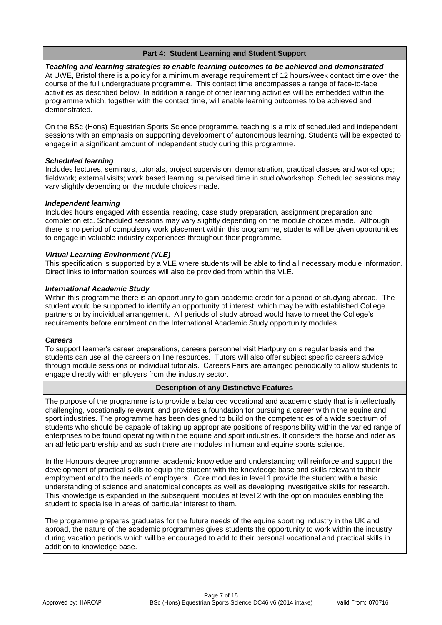# **Part 4: Student Learning and Student Support**

*Teaching and learning strategies to enable learning outcomes to be achieved and demonstrated* At UWE, Bristol there is a policy for a minimum average requirement of 12 hours/week contact time over the course of the full undergraduate programme. This contact time encompasses a range of face-to-face activities as described below. In addition a range of other learning activities will be embedded within the programme which, together with the contact time, will enable learning outcomes to be achieved and demonstrated.

On the BSc (Hons) Equestrian Sports Science programme, teaching is a mix of scheduled and independent sessions with an emphasis on supporting development of autonomous learning. Students will be expected to engage in a significant amount of independent study during this programme.

## *Scheduled learning*

Includes lectures, seminars, tutorials, project supervision, demonstration, practical classes and workshops; fieldwork; external visits; work based learning; supervised time in studio/workshop. Scheduled sessions may vary slightly depending on the module choices made.

## *Independent learning*

Includes hours engaged with essential reading, case study preparation, assignment preparation and completion etc. Scheduled sessions may vary slightly depending on the module choices made. Although there is no period of compulsory work placement within this programme, students will be given opportunities to engage in valuable industry experiences throughout their programme.

## *Virtual Learning Environment (VLE)*

This specification is supported by a VLE where students will be able to find all necessary module information. Direct links to information sources will also be provided from within the VLE.

## *International Academic Study*

Within this programme there is an opportunity to gain academic credit for a period of studying abroad. The student would be supported to identify an opportunity of interest, which may be with established College partners or by individual arrangement. All periods of study abroad would have to meet the College's requirements before enrolment on the International Academic Study opportunity modules.

#### *Careers*

To support learner's career preparations, careers personnel visit Hartpury on a regular basis and the students can use all the careers on line resources. Tutors will also offer subject specific careers advice through module sessions or individual tutorials. Careers Fairs are arranged periodically to allow students to engage directly with employers from the industry sector.

## **Description of any Distinctive Features**

The purpose of the programme is to provide a balanced vocational and academic study that is intellectually challenging, vocationally relevant, and provides a foundation for pursuing a career within the equine and sport industries. The programme has been designed to build on the competencies of a wide spectrum of students who should be capable of taking up appropriate positions of responsibility within the varied range of enterprises to be found operating within the equine and sport industries. It considers the horse and rider as an athletic partnership and as such there are modules in human and equine sports science.

In the Honours degree programme, academic knowledge and understanding will reinforce and support the development of practical skills to equip the student with the knowledge base and skills relevant to their employment and to the needs of employers. Core modules in level 1 provide the student with a basic understanding of science and anatomical concepts as well as developing investigative skills for research. This knowledge is expanded in the subsequent modules at level 2 with the option modules enabling the student to specialise in areas of particular interest to them.

The programme prepares graduates for the future needs of the equine sporting industry in the UK and abroad, the nature of the academic programmes gives students the opportunity to work within the industry during vacation periods which will be encouraged to add to their personal vocational and practical skills in addition to knowledge base.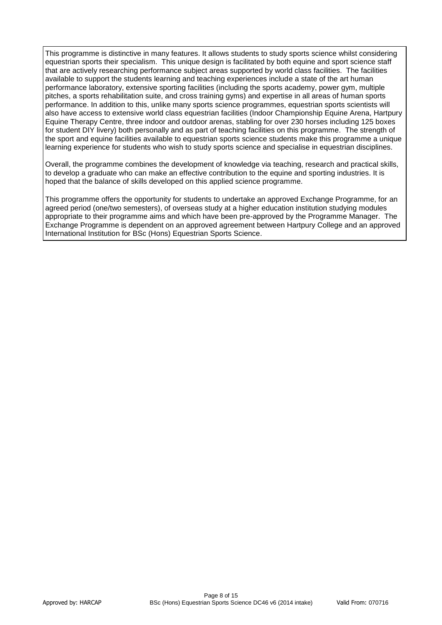This programme is distinctive in many features. It allows students to study sports science whilst considering equestrian sports their specialism. This unique design is facilitated by both equine and sport science staff that are actively researching performance subject areas supported by world class facilities. The facilities available to support the students learning and teaching experiences include a state of the art human performance laboratory, extensive sporting facilities (including the sports academy, power gym, multiple pitches, a sports rehabilitation suite, and cross training gyms) and expertise in all areas of human sports performance. In addition to this, unlike many sports science programmes, equestrian sports scientists will also have access to extensive world class equestrian facilities (Indoor Championship Equine Arena, Hartpury Equine Therapy Centre, three indoor and outdoor arenas, stabling for over 230 horses including 125 boxes for student DIY livery) both personally and as part of teaching facilities on this programme. The strength of the sport and equine facilities available to equestrian sports science students make this programme a unique learning experience for students who wish to study sports science and specialise in equestrian disciplines.

Overall, the programme combines the development of knowledge via teaching, research and practical skills, to develop a graduate who can make an effective contribution to the equine and sporting industries. It is hoped that the balance of skills developed on this applied science programme.

This programme offers the opportunity for students to undertake an approved Exchange Programme, for an agreed period (one/two semesters), of overseas study at a higher education institution studying modules appropriate to their programme aims and which have been pre-approved by the Programme Manager. The Exchange Programme is dependent on an approved agreement between Hartpury College and an approved International Institution for BSc (Hons) Equestrian Sports Science.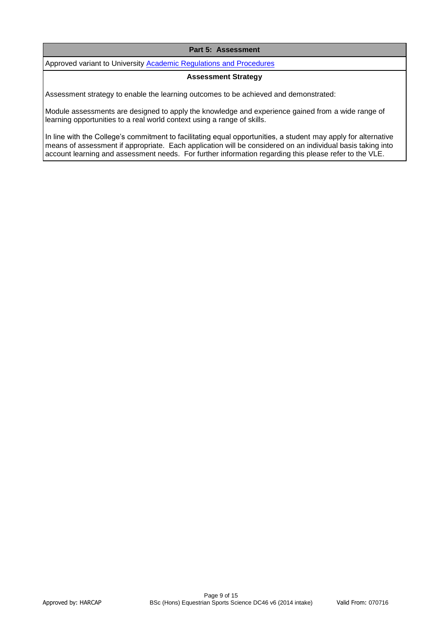## **Part 5: Assessment**

Approved variant to University **Academic Regulations and Procedures** 

#### **Assessment Strategy**

Assessment strategy to enable the learning outcomes to be achieved and demonstrated:

Module assessments are designed to apply the knowledge and experience gained from a wide range of learning opportunities to a real world context using a range of skills.

In line with the College's commitment to facilitating equal opportunities, a student may apply for alternative means of assessment if appropriate. Each application will be considered on an individual basis taking into account learning and assessment needs. For further information regarding this please refer to the VLE.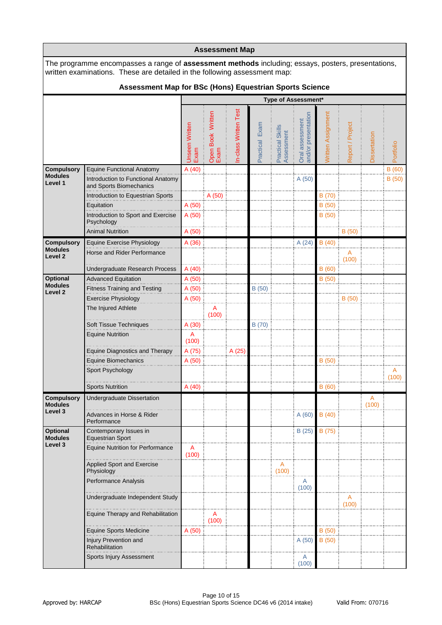|                                      |                                                                                                                                                                                        |                               |                           | <b>Assessment Map</b> |                |                                |                                        |                    |                  |                |            |
|--------------------------------------|----------------------------------------------------------------------------------------------------------------------------------------------------------------------------------------|-------------------------------|---------------------------|-----------------------|----------------|--------------------------------|----------------------------------------|--------------------|------------------|----------------|------------|
|                                      | The programme encompasses a range of <b>assessment methods</b> including; essays, posters, presentations,<br>written examinations. These are detailed in the following assessment map: |                               |                           |                       |                |                                |                                        |                    |                  |                |            |
|                                      | Assessment Map for BSc (Hons) Equestrian Sports Science                                                                                                                                |                               |                           |                       |                |                                |                                        |                    |                  |                |            |
|                                      |                                                                                                                                                                                        |                               |                           |                       |                |                                | Type of Assessment*                    |                    |                  |                |            |
|                                      |                                                                                                                                                                                        | <b>Unseen Written</b><br>Exam | Open Book Written<br>Exam | n-class Written Test  | Practical Exam | Practical Skills<br>Assessment | and/or presentation<br>Oral assessment | Written Assignment | Report / Project | Dissertation   | Portfolio  |
| <b>Compulsory</b>                    | <b>Equine Functional Anatomy</b>                                                                                                                                                       | A(40)                         |                           |                       |                |                                |                                        |                    |                  |                | B(60)      |
| <b>Modules</b><br>Level 1            | Introduction to Functional Anatomy<br>and Sports Biomechanics                                                                                                                          |                               |                           |                       |                |                                | A (50)                                 |                    |                  |                | B (50)     |
|                                      | Introduction to Equestrian Sports                                                                                                                                                      |                               | A (50)                    |                       |                |                                |                                        | B (70)             |                  |                |            |
|                                      | Equitation<br>Introduction to Sport and Exercise<br>Psychology                                                                                                                         | A (50)<br>A (50)              |                           |                       |                |                                |                                        | B (50)<br>B(50)    |                  |                |            |
|                                      | <b>Animal Nutrition</b>                                                                                                                                                                | A (50)                        |                           |                       |                |                                |                                        |                    | B(50)            |                |            |
| <b>Compulsory</b>                    | Equine Exercise Physiology                                                                                                                                                             | A (36)                        |                           |                       |                |                                | A(24)                                  | B(40)              |                  |                |            |
| <b>Modules</b><br>Level <sub>2</sub> | Horse and Rider Performance                                                                                                                                                            |                               |                           |                       |                |                                |                                        |                    | A<br>(100)       |                |            |
|                                      | Undergraduate Research Process                                                                                                                                                         | A (40)                        |                           |                       |                |                                |                                        | B(60)              |                  |                |            |
| <b>Optional</b><br><b>Modules</b>    | <b>Advanced Equitation</b>                                                                                                                                                             | A (50)                        |                           |                       |                |                                |                                        | B(50)              |                  |                |            |
| Level 2                              | <b>Fitness Training and Testing</b>                                                                                                                                                    | A (50)                        |                           |                       | B (50)         |                                |                                        |                    |                  |                |            |
|                                      | <b>Exercise Physiology</b><br>The Injured Athlete                                                                                                                                      | A(50)                         | A                         |                       |                |                                |                                        |                    | B(50)            |                |            |
|                                      |                                                                                                                                                                                        |                               | (100)                     |                       |                |                                |                                        |                    |                  |                |            |
|                                      | Soft Tissue Techniques                                                                                                                                                                 | A (30)                        |                           |                       | B (70)         |                                |                                        |                    |                  |                |            |
|                                      | <b>Equine Nutrition</b>                                                                                                                                                                | A<br>(100)                    |                           |                       |                |                                |                                        |                    |                  |                |            |
|                                      | <b>Equine Diagnostics and Therapy</b>                                                                                                                                                  | A (75)                        |                           | A (25)                |                |                                |                                        |                    |                  |                |            |
|                                      | Equine Biomechanics                                                                                                                                                                    | A (50)                        |                           |                       |                |                                |                                        | B (50)             |                  |                |            |
|                                      | Sport Psychology                                                                                                                                                                       |                               |                           |                       |                |                                |                                        |                    |                  |                | Α<br>(100) |
|                                      | <b>Sports Nutrition</b>                                                                                                                                                                | A(40)                         |                           |                       |                |                                |                                        | B(60)              |                  |                |            |
| <b>Compulsory</b>                    | Undergraduate Dissertation                                                                                                                                                             |                               |                           |                       |                |                                |                                        |                    |                  | $\overline{A}$ |            |
| <b>Modules</b><br>Level 3            | Advances in Horse & Rider<br>Performance                                                                                                                                               |                               |                           |                       |                |                                | A(60)                                  | B(40)              |                  | (100)          |            |
| <b>Optional</b><br><b>Modules</b>    | Contemporary Issues in<br><b>Equestrian Sport</b>                                                                                                                                      |                               |                           |                       |                |                                | B(25)                                  | B (75)             |                  |                |            |
| Level 3                              | <b>Equine Nutrition for Performance</b>                                                                                                                                                | A<br>(100)                    |                           |                       |                |                                |                                        |                    |                  |                |            |
|                                      | <b>Applied Sport and Exercise</b><br>Physiology                                                                                                                                        |                               |                           |                       |                | A<br>(100)                     |                                        |                    |                  |                |            |
|                                      | Performance Analysis                                                                                                                                                                   |                               |                           |                       |                |                                | A                                      |                    |                  |                |            |
|                                      | Undergraduate Independent Study                                                                                                                                                        |                               |                           |                       |                |                                | (100)                                  |                    | A                |                |            |
|                                      |                                                                                                                                                                                        |                               |                           |                       |                |                                |                                        |                    | (100)            |                |            |
|                                      | Equine Therapy and Rehabilitation                                                                                                                                                      |                               | A<br>(100)                |                       |                |                                |                                        |                    |                  |                |            |
|                                      | Equine Sports Medicine                                                                                                                                                                 | A (50)                        |                           |                       |                |                                |                                        | B(50)              |                  |                |            |
|                                      | Injury Prevention and<br><b>Rehabilitation</b>                                                                                                                                         |                               |                           |                       |                |                                | A(50)                                  | B (50)             |                  |                |            |
|                                      | Sports Injury Assessment                                                                                                                                                               |                               |                           |                       |                |                                | A<br>(100)                             |                    |                  |                |            |

 $\mathbf{r}$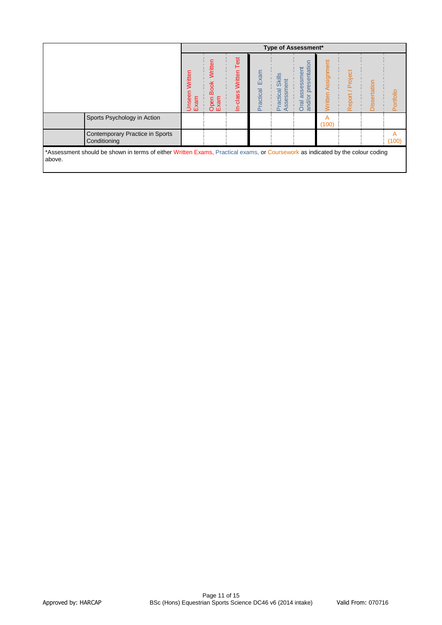|                                                                                                                                          |                        |                                            |                                |                   | <b>Type of Assessment*</b>                   |                                                       |                              |                  |              |            |
|------------------------------------------------------------------------------------------------------------------------------------------|------------------------|--------------------------------------------|--------------------------------|-------------------|----------------------------------------------|-------------------------------------------------------|------------------------------|------------------|--------------|------------|
|                                                                                                                                          | Unseen Written<br>Exam | Written<br><b>Book</b><br>xam<br>pen<br>õŵ | Test<br>Written<br>-class<br>≘ | Exam<br>Practical | <b>Skills</b><br>ssessment<br>Practical<br>₫ | presentation<br>assessment<br>ŏ<br><b>Oral</b><br>and | Assignment<br><b>Nritten</b> | Report / Project | Dissertation | Portfolio  |
| Sports Psychology in Action                                                                                                              |                        |                                            |                                |                   |                                              |                                                       | A<br>(100)                   |                  |              |            |
| Contemporary Practice in Sports<br>Conditioning                                                                                          |                        |                                            |                                |                   |                                              |                                                       |                              |                  |              | A<br>(100) |
| *Assessment should be shown in terms of either Written Exams, Practical exams, or Coursework as indicated by the colour coding<br>above. |                        |                                            |                                |                   |                                              |                                                       |                              |                  |              |            |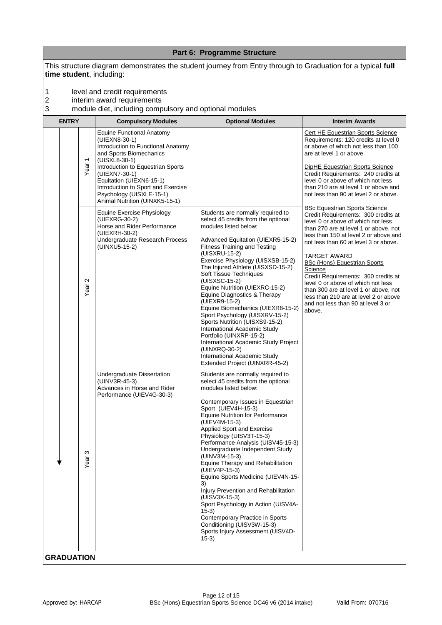|                           |                                                                                                                                                                                                                                                                                                                           | Part 6: Programme Structure                                                                                                                                                                                                                                                                                                                                                                                                                                                                                                                                                                                                                                                                                 |                                                                                                                                                                                                                                                                                                                                                                                                                                                                                                                                      |
|---------------------------|---------------------------------------------------------------------------------------------------------------------------------------------------------------------------------------------------------------------------------------------------------------------------------------------------------------------------|-------------------------------------------------------------------------------------------------------------------------------------------------------------------------------------------------------------------------------------------------------------------------------------------------------------------------------------------------------------------------------------------------------------------------------------------------------------------------------------------------------------------------------------------------------------------------------------------------------------------------------------------------------------------------------------------------------------|--------------------------------------------------------------------------------------------------------------------------------------------------------------------------------------------------------------------------------------------------------------------------------------------------------------------------------------------------------------------------------------------------------------------------------------------------------------------------------------------------------------------------------------|
| time student, including:  |                                                                                                                                                                                                                                                                                                                           | This structure diagram demonstrates the student journey from Entry through to Graduation for a typical full                                                                                                                                                                                                                                                                                                                                                                                                                                                                                                                                                                                                 |                                                                                                                                                                                                                                                                                                                                                                                                                                                                                                                                      |
| 1<br>$\overline{c}$<br>3  | level and credit requirements<br>interim award requirements<br>module diet, including compulsory and optional modules                                                                                                                                                                                                     |                                                                                                                                                                                                                                                                                                                                                                                                                                                                                                                                                                                                                                                                                                             |                                                                                                                                                                                                                                                                                                                                                                                                                                                                                                                                      |
| <b>ENTRY</b>              | <b>Compulsory Modules</b>                                                                                                                                                                                                                                                                                                 | <b>Optional Modules</b>                                                                                                                                                                                                                                                                                                                                                                                                                                                                                                                                                                                                                                                                                     | <b>Interim Awards</b>                                                                                                                                                                                                                                                                                                                                                                                                                                                                                                                |
| Year <sub>1</sub>         | <b>Equine Functional Anatomy</b><br>(UIEXN8-30-1)<br>Introduction to Functional Anatomy<br>and Sports Biomechanics<br>(UISXL8-30-1)<br>Introduction to Equestrian Sports<br>(UIEXN7-30-1)<br>Equitation (UIEXN6-15-1)<br>Introduction to Sport and Exercise<br>Psychology (UISXLE-15-1)<br>Animal Nutrition (UINXK5-15-1) |                                                                                                                                                                                                                                                                                                                                                                                                                                                                                                                                                                                                                                                                                                             | Cert HE Equestrian Sports Science<br>Requirements: 120 credits at level 0<br>or above of which not less than 100<br>are at level 1 or above.<br>DipHE Equestrian Sports Science<br>Credit Requirements: 240 credits at<br>level 0 or above of which not less<br>than 210 are at level 1 or above and<br>not less than 90 at level 2 or above.                                                                                                                                                                                        |
| $\mathbf{\Omega}$<br>Year | Equine Exercise Physiology<br>(UIEXRG-30-2)<br>Horse and Rider Performance<br>(UIEXRH-30-2)<br>Undergraduate Research Process<br>(UINXU5-15-2)                                                                                                                                                                            | Students are normally required to<br>select 45 credits from the optional<br>modules listed below:<br>Advanced Equitation (UIEXR5-15-2)<br><b>Fitness Training and Testing</b><br>(UISXRU-15-2)<br>Exercise Physiology (UISXSB-15-2)<br>The Injured Athlete (UISXSD-15-2)<br>Soft Tissue Techniques<br>(UISXSC-15-2)<br>Equine Nutrition (UIEXRC-15-2)<br>Equine Diagnostics & Therapy<br>(UIEXR9-15-2)<br>Equine Biomechanics (UIEXR8-15-2)<br>Sport Psychology (UISXRV-15-2)<br>Sports Nutrition (UISXS9-15-2)<br>International Academic Study<br>Portfolio (UINXRP-15-2)<br>International Academic Study Project<br>(UINXRQ-30-2)<br>International Academic Study<br>Extended Project (UINXRR-45-2)       | <b>BSc Equestrian Sports Science</b><br>Credit Requirements: 300 credits at<br>level 0 or above of which not less<br>than 270 are at level 1 or above, not<br>less than 150 at level 2 or above and<br>not less than 60 at level 3 or above.<br><b>TARGET AWARD</b><br><b>BSc (Hons) Equestrian Sports</b><br>Science<br>Credit Requirements: 360 credits at<br>level 0 or above of which not less<br>than 300 are at level 1 or above, not<br>less than 210 are at level 2 or above<br>and not less than 90 at level 3 or<br>above. |
| ω<br>Year                 | Undergraduate Dissertation<br>(UINV3R-45-3)<br>Advances in Horse and Rider<br>Performance (UIEV4G-30-3)                                                                                                                                                                                                                   | Students are normally required to<br>select 45 credits from the optional<br>modules listed below:<br>Contemporary Issues in Equestrian<br>Sport (UIEV4H-15-3)<br><b>Equine Nutrition for Performance</b><br>(UIEV4M-15-3)<br>Applied Sport and Exercise<br>Physiology (UISV3T-15-3)<br>Performance Analysis (UISV45-15-3)<br>Undergraduate Independent Study<br>(UINV3M-15-3)<br>Equine Therapy and Rehabilitation<br>(UIEV4P-15-3)<br>Equine Sports Medicine (UIEV4N-15-<br>3)<br>Injury Prevention and Rehabilitation<br>(UISV3X-15-3)<br>Sport Psychology in Action (UISV4A-<br>$15-3)$<br>Contemporary Practice in Sports<br>Conditioning (UISV3W-15-3)<br>Sports Injury Assessment (UISV4D-<br>$15-3)$ |                                                                                                                                                                                                                                                                                                                                                                                                                                                                                                                                      |
| <b>GRADUATION</b>         |                                                                                                                                                                                                                                                                                                                           |                                                                                                                                                                                                                                                                                                                                                                                                                                                                                                                                                                                                                                                                                                             |                                                                                                                                                                                                                                                                                                                                                                                                                                                                                                                                      |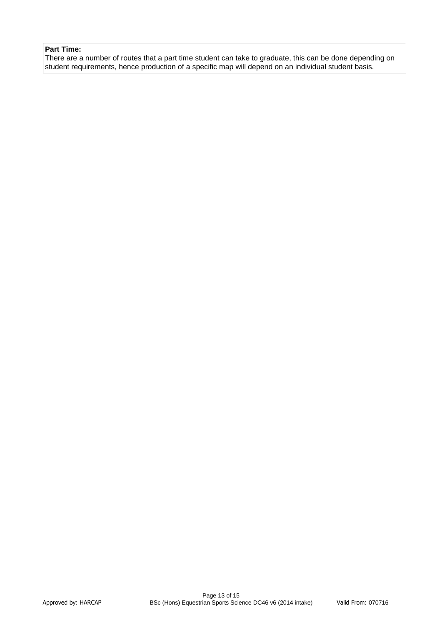# **Part Time:**

There are a number of routes that a part time student can take to graduate, this can be done depending on student requirements, hence production of a specific map will depend on an individual student basis.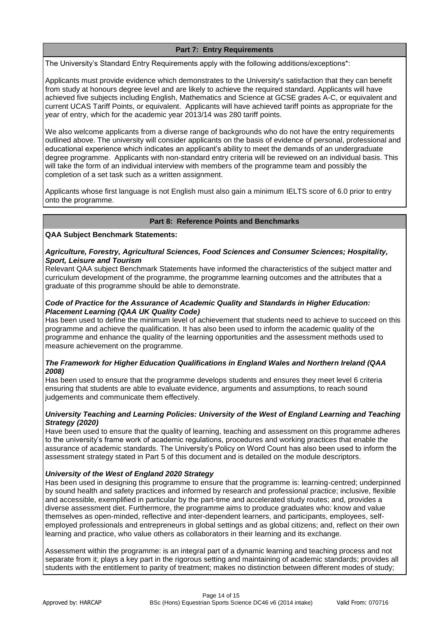# **Part 7: Entry Requirements**

The University's Standard Entry Requirements apply with the following additions/exceptions\*:

Applicants must provide evidence which demonstrates to the University's satisfaction that they can benefit from study at honours degree level and are likely to achieve the required standard. Applicants will have achieved five subjects including English, Mathematics and Science at GCSE grades A-C, or equivalent and current UCAS Tariff Points, or equivalent. Applicants will have achieved tariff points as appropriate for the year of entry, which for the academic year 2013/14 was 280 tariff points.

We also welcome applicants from a diverse range of backgrounds who do not have the entry requirements outlined above. The university will consider applicants on the basis of evidence of personal, professional and educational experience which indicates an applicant's ability to meet the demands of an undergraduate degree programme. Applicants with non-standard entry criteria will be reviewed on an individual basis. This will take the form of an individual interview with members of the programme team and possibly the completion of a set task such as a written assignment.

Applicants whose first language is not English must also gain a minimum IELTS score of 6.0 prior to entry onto the programme.

## **Part 8: Reference Points and Benchmarks**

**QAA Subject Benchmark Statements:**

#### *Agriculture, Forestry, Agricultural Sciences, Food Sciences and Consumer Sciences; Hospitality, Sport, Leisure and Tourism*

Relevant QAA subject Benchmark Statements have informed the characteristics of the subject matter and curriculum development of the programme, the programme learning outcomes and the attributes that a graduate of this programme should be able to demonstrate.

## *Code of Practice for the Assurance of Academic Quality and Standards in Higher Education: Placement Learning (QAA UK Quality Code)*

Has been used to define the minimum level of achievement that students need to achieve to succeed on this programme and achieve the qualification. It has also been used to inform the academic quality of the programme and enhance the quality of the learning opportunities and the assessment methods used to measure achievement on the programme.

# *The Framework for Higher Education Qualifications in England Wales and Northern Ireland (QAA 2008)*

Has been used to ensure that the programme develops students and ensures they meet level 6 criteria ensuring that students are able to evaluate evidence, arguments and assumptions, to reach sound judgements and communicate them effectively.

## *University Teaching and Learning Policies: University of the West of England Learning and Teaching Strategy (2020)*

Have been used to ensure that the quality of learning, teaching and assessment on this programme adheres to the university's frame work of academic regulations, procedures and working practices that enable the assurance of academic standards. The University's Policy on Word Count has also been used to inform the assessment strategy stated in Part 5 of this document and is detailed on the module descriptors.

## *University of the West of England 2020 Strategy*

Has been used in designing this programme to ensure that the programme is: learning-centred; underpinned by sound health and safety practices and informed by research and professional practice; inclusive, flexible and accessible, exemplified in particular by the part-time and accelerated study routes; and, provides a diverse assessment diet. Furthermore, the programme aims to produce graduates who: know and value themselves as open-minded, reflective and inter-dependent learners, and participants, employees, selfemployed professionals and entrepreneurs in global settings and as global citizens; and, reflect on their own learning and practice, who value others as collaborators in their learning and its exchange.

Assessment within the programme: is an integral part of a dynamic learning and teaching process and not separate from it; plays a key part in the rigorous setting and maintaining of academic standards; provides all students with the entitlement to parity of treatment; makes no distinction between different modes of study;